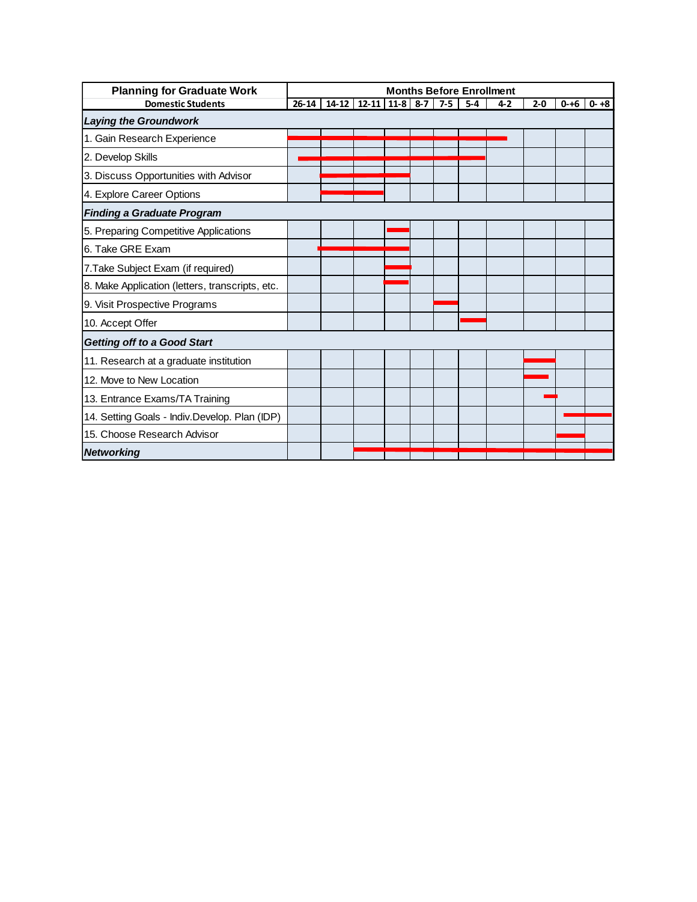| <b>Planning for Graduate Work</b>               | <b>Months Before Enrollment</b> |  |                        |  |  |         |         |         |         |          |          |
|-------------------------------------------------|---------------------------------|--|------------------------|--|--|---------|---------|---------|---------|----------|----------|
| <b>Domestic Students</b>                        | $26 - 14$                       |  | $14-12$ 12-11 11-8 8-7 |  |  | $7 - 5$ | $5 - 4$ | $4 - 2$ | $2 - 0$ | $0 - +6$ | $0 - +8$ |
| <b>Laying the Groundwork</b>                    |                                 |  |                        |  |  |         |         |         |         |          |          |
| 1. Gain Research Experience                     |                                 |  |                        |  |  |         |         |         |         |          |          |
| 2. Develop Skills                               |                                 |  |                        |  |  |         |         |         |         |          |          |
| 3. Discuss Opportunities with Advisor           |                                 |  |                        |  |  |         |         |         |         |          |          |
| 4. Explore Career Options                       |                                 |  |                        |  |  |         |         |         |         |          |          |
| <b>Finding a Graduate Program</b>               |                                 |  |                        |  |  |         |         |         |         |          |          |
| 5. Preparing Competitive Applications           |                                 |  |                        |  |  |         |         |         |         |          |          |
| 6. Take GRE Exam                                |                                 |  |                        |  |  |         |         |         |         |          |          |
| 7. Take Subject Exam (if required)              |                                 |  |                        |  |  |         |         |         |         |          |          |
| 8. Make Application (letters, transcripts, etc. |                                 |  |                        |  |  |         |         |         |         |          |          |
| 9. Visit Prospective Programs                   |                                 |  |                        |  |  |         |         |         |         |          |          |
| 10. Accept Offer                                |                                 |  |                        |  |  |         |         |         |         |          |          |
| <b>Getting off to a Good Start</b>              |                                 |  |                        |  |  |         |         |         |         |          |          |
| 11. Research at a graduate institution          |                                 |  |                        |  |  |         |         |         |         |          |          |
| 12. Move to New Location                        |                                 |  |                        |  |  |         |         |         |         |          |          |
| 13. Entrance Exams/TA Training                  |                                 |  |                        |  |  |         |         |         |         |          |          |
| 14. Setting Goals - Indiv.Develop. Plan (IDP)   |                                 |  |                        |  |  |         |         |         |         |          |          |
| 15. Choose Research Advisor                     |                                 |  |                        |  |  |         |         |         |         |          |          |
| <b>Networking</b>                               |                                 |  |                        |  |  |         |         |         |         |          |          |